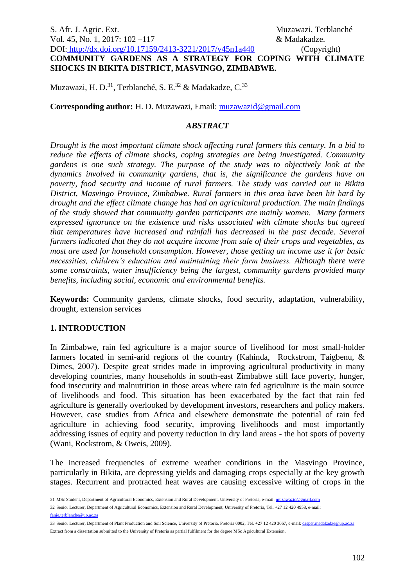# S. Afr. J. Agric. Ext. Muzawazi, Terblanché Vol. 45, No. 1, 2017: 102 – 117 **& Madakadze.** DOI: <http://dx.doi.org/10.17159/2413-3221/2017/v45n1a440> (Copyright) **COMMUNITY GARDENS AS A STRATEGY FOR COPING WITH CLIMATE SHOCKS IN BIKITA DISTRICT, MASVINGO, ZIMBABWE.**

Muzawazi, H. D.<sup>31</sup>, Terblanché, S. E.<sup>32</sup> & Madakadze, C.<sup>33</sup>

**Corresponding author:** H. D. Muzawazi, Email: [muzawazid@gmail.com](mailto:muzawazid@gmail.com)

## *ABSTRACT*

*Drought is the most important climate shock affecting rural farmers this century. In a bid to reduce the effects of climate shocks, coping strategies are being investigated. Community gardens is one such strategy. The purpose of the study was to objectively look at the dynamics involved in community gardens, that is, the significance the gardens have on poverty, food security and income of rural farmers. The study was carried out in Bikita District, Masvingo Province, Zimbabwe. Rural farmers in this area have been hit hard by drought and the effect climate change has had on agricultural production. The main findings of the study showed that community garden participants are mainly women. Many farmers expressed ignorance on the existence and risks associated with climate shocks but agreed that temperatures have increased and rainfall has decreased in the past decade. Several farmers indicated that they do not acquire income from sale of their crops and vegetables, as most are used for household consumption. However, those getting an income use it for basic necessities, children's education and maintaining their farm business. Although there were some constraints, water insufficiency being the largest, community gardens provided many benefits, including social, economic and environmental benefits.*

**Keywords:** Community gardens, climate shocks, food security, adaptation, vulnerability, drought, extension services

## **1. INTRODUCTION**

In Zimbabwe, rain fed agriculture is a major source of livelihood for most small-holder farmers located in semi-arid regions of the country (Kahinda, Rockstrom, Taigbenu, & Dimes, 2007). Despite great strides made in improving agricultural productivity in many developing countries, many households in south-east Zimbabwe still face poverty, hunger, food insecurity and malnutrition in those areas where rain fed agriculture is the main source of livelihoods and food. This situation has been exacerbated by the fact that rain fed agriculture is generally overlooked by development investors, researchers and policy makers. However, case studies from Africa and elsewhere demonstrate the potential of rain fed agriculture in achieving food security, improving livelihoods and most importantly addressing issues of equity and poverty reduction in dry land areas - the hot spots of poverty (Wani, Rockstrom, & Oweis, 2009).

The increased frequencies of extreme weather conditions in the Masvingo Province, particularly in Bikita, are depressing yields and damaging crops especially at the key growth stages. Recurrent and protracted heat waves are causing excessive wilting of crops in the

32 Senior Lecturer, Department of Agricultural Economics, Extension and Rural Development, University of Pretoria, Tel. +27 12 420 4958, e-mail:

[fanie.terblanche@up.ac.za](mailto:fanie.terblanche@up.ac.za) 

 31 MSc Student, Department of Agricultural Economics, Extension and Rural Development, University of Pretoria, e-mail[: muzawazid@gmail.com](mailto:muzawazid@gmail.com)

<sup>33</sup> Senior Lecturer, Department of Plant Production and Soil Science, University of Pretoria, Pretoria 0002, Tel. +27 12 420 3667, e-mail[: casper.madakadze@up.ac.za](mailto:casper.madakadze@up.ac.za) Extract from a dissertation submitted to the University of Pretoria as partial fulfilment for the degree MSc Agricultural Extension.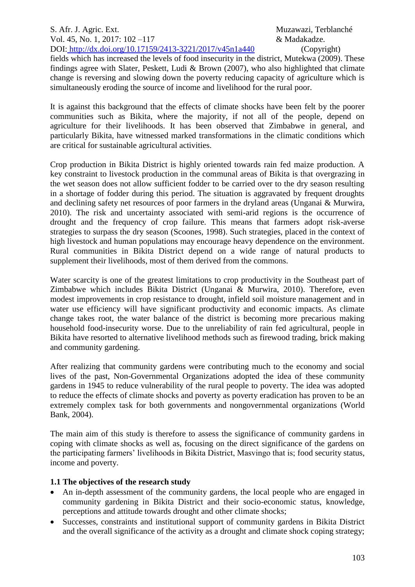S. Afr. J. Agric. Ext. Muzawazi, Terblanché Vol. 45, No. 1, 2017: 102 –117 & Madakadze. DOI: <http://dx.doi.org/10.17159/2413-3221/2017/v45n1a440> (Copyright)

fields which has increased the levels of food insecurity in the district, Mutekwa (2009). These findings agree with Slater, Peskett, Ludi & Brown (2007), who also highlighted that climate change is reversing and slowing down the poverty reducing capacity of agriculture which is simultaneously eroding the source of income and livelihood for the rural poor.

It is against this background that the effects of climate shocks have been felt by the poorer communities such as Bikita, where the majority, if not all of the people, depend on agriculture for their livelihoods. It has been observed that Zimbabwe in general, and particularly Bikita, have witnessed marked transformations in the climatic conditions which are critical for sustainable agricultural activities.

Crop production in Bikita District is highly oriented towards rain fed maize production. A key constraint to livestock production in the communal areas of Bikita is that overgrazing in the wet season does not allow sufficient fodder to be carried over to the dry season resulting in a shortage of fodder during this period. The situation is aggravated by frequent droughts and declining safety net resources of poor farmers in the dryland areas (Unganai & Murwira, 2010). The risk and uncertainty associated with semi-arid regions is the occurrence of drought and the frequency of crop failure. This means that farmers adopt risk-averse strategies to surpass the dry season (Scoones, 1998). Such strategies, placed in the context of high livestock and human populations may encourage heavy dependence on the environment. Rural communities in Bikita District depend on a wide range of natural products to supplement their livelihoods, most of them derived from the commons.

Water scarcity is one of the greatest limitations to crop productivity in the Southeast part of Zimbabwe which includes Bikita District (Unganai & Murwira, 2010). Therefore, even modest improvements in crop resistance to drought, infield soil moisture management and in water use efficiency will have significant productivity and economic impacts. As climate change takes root, the water balance of the district is becoming more precarious making household food-insecurity worse. Due to the unreliability of rain fed agricultural, people in Bikita have resorted to alternative livelihood methods such as firewood trading, brick making and community gardening.

After realizing that community gardens were contributing much to the economy and social lives of the past, Non-Governmental Organizations adopted the idea of these community gardens in 1945 to reduce vulnerability of the rural people to poverty. The idea was adopted to reduce the effects of climate shocks and poverty as poverty eradication has proven to be an extremely complex task for both governments and nongovernmental organizations (World Bank, 2004).

The main aim of this study is therefore to assess the significance of community gardens in coping with climate shocks as well as, focusing on the direct significance of the gardens on the participating farmers' livelihoods in Bikita District, Masvingo that is; food security status, income and poverty.

## **1.1 The objectives of the research study**

- An in-depth assessment of the community gardens, the local people who are engaged in community gardening in Bikita District and their socio-economic status, knowledge, perceptions and attitude towards drought and other climate shocks;
- Successes, constraints and institutional support of community gardens in Bikita District and the overall significance of the activity as a drought and climate shock coping strategy;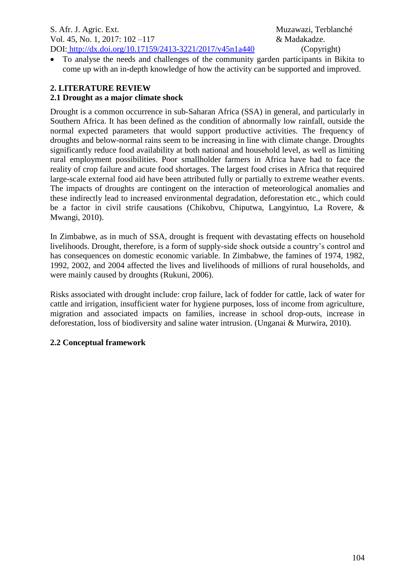• To analyse the needs and challenges of the community garden participants in Bikita to come up with an in-depth knowledge of how the activity can be supported and improved.

# **2. LITERATURE REVIEW**

# **2.1 Drought as a major climate shock**

Drought is a common occurrence in sub-Saharan Africa (SSA) in general, and particularly in Southern Africa. It has been defined as the condition of abnormally low rainfall, outside the normal expected parameters that would support productive activities. The frequency of droughts and below-normal rains seem to be increasing in line with climate change. Droughts significantly reduce food availability at both national and household level, as well as limiting rural employment possibilities. Poor smallholder farmers in Africa have had to face the reality of crop failure and acute food shortages. The largest food crises in Africa that required large-scale external food aid have been attributed fully or partially to extreme weather events. The impacts of droughts are contingent on the interaction of meteorological anomalies and these indirectly lead to increased environmental degradation, deforestation etc., which could be a factor in civil strife causations (Chikobvu, Chiputwa, Langyintuo, La Rovere, & Mwangi, 2010).

In Zimbabwe, as in much of SSA, drought is frequent with devastating effects on household livelihoods. Drought, therefore, is a form of supply-side shock outside a country's control and has consequences on domestic economic variable. In Zimbabwe, the famines of 1974, 1982, 1992, 2002, and 2004 affected the lives and livelihoods of millions of rural households, and were mainly caused by droughts (Rukuni, 2006).

Risks associated with drought include: crop failure, lack of fodder for cattle, lack of water for cattle and irrigation, insufficient water for hygiene purposes, loss of income from agriculture, migration and associated impacts on families, increase in school drop-outs, increase in deforestation, loss of biodiversity and saline water intrusion. (Unganai & Murwira, 2010).

## **2.2 Conceptual framework**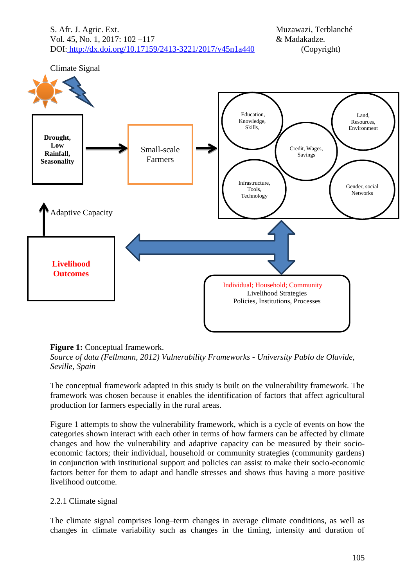S. Afr. J. Agric. Ext. Muzawazi, Terblanché Vol. 45, No. 1, 2017: 102 –117  $\&$  Madakadze. DOI: <http://dx.doi.org/10.17159/2413-3221/2017/v45n1a440> (Copyright)



#### **Figure 1:** Conceptual framework.

*Source of data (Fellmann, 2012) Vulnerability Frameworks - University Pablo de Olavide, Seville, Spain*

The conceptual framework adapted in this study is built on the vulnerability framework. The framework was chosen because it enables the identification of factors that affect agricultural production for farmers especially in the rural areas.

Figure 1 attempts to show the vulnerability framework, which is a cycle of events on how the categories shown interact with each other in terms of how farmers can be affected by climate changes and how the vulnerability and adaptive capacity can be measured by their socioeconomic factors; their individual, household or community strategies (community gardens) in conjunction with institutional support and policies can assist to make their socio-economic factors better for them to adapt and handle stresses and shows thus having a more positive livelihood outcome.

#### 2.2.1 Climate signal

The climate signal comprises long–term changes in average climate conditions, as well as changes in climate variability such as changes in the timing, intensity and duration of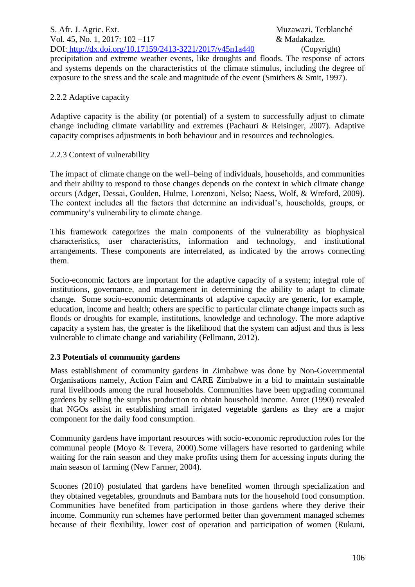precipitation and extreme weather events, like droughts and floods. The response of actors and systems depends on the characteristics of the climate stimulus, including the degree of exposure to the stress and the scale and magnitude of the event (Smithers & Smit, 1997).

## 2.2.2 Adaptive capacity

Adaptive capacity is the ability (or potential) of a system to successfully adjust to climate change including climate variability and extremes (Pachauri & Reisinger, 2007). Adaptive capacity comprises adjustments in both behaviour and in resources and technologies.

# 2.2.3 Context of vulnerability

The impact of climate change on the well–being of individuals, households, and communities and their ability to respond to those changes depends on the context in which climate change occurs (Adger, Dessai, Goulden, Hulme, Lorenzoni, Nelso; Naess, Wolf, & Wreford, 2009). The context includes all the factors that determine an individual's, households, groups, or community's vulnerability to climate change.

This framework categorizes the main components of the vulnerability as biophysical characteristics, user characteristics, information and technology, and institutional arrangements. These components are interrelated, as indicated by the arrows connecting them.

Socio-economic factors are important for the adaptive capacity of a system; integral role of institutions, governance, and management in determining the ability to adapt to climate change. Some socio-economic determinants of adaptive capacity are generic, for example, education, income and health; others are specific to particular climate change impacts such as floods or droughts for example, institutions, knowledge and technology. The more adaptive capacity a system has, the greater is the likelihood that the system can adjust and thus is less vulnerable to climate change and variability (Fellmann, 2012).

# **2.3 Potentials of community gardens**

Mass establishment of community gardens in Zimbabwe was done by Non-Governmental Organisations namely, Action Faim and CARE Zimbabwe in a bid to maintain sustainable rural livelihoods among the rural households. Communities have been upgrading communal gardens by selling the surplus production to obtain household income. Auret (1990) revealed that NGOs assist in establishing small irrigated vegetable gardens as they are a major component for the daily food consumption.

Community gardens have important resources with socio-economic reproduction roles for the communal people (Moyo & Tevera, 2000).Some villagers have resorted to gardening while waiting for the rain season and they make profits using them for accessing inputs during the main season of farming (New Farmer, 2004).

Scoones (2010) postulated that gardens have benefited women through specialization and they obtained vegetables, groundnuts and Bambara nuts for the household food consumption. Communities have benefited from participation in those gardens where they derive their income. Community run schemes have performed better than government managed schemes because of their flexibility, lower cost of operation and participation of women (Rukuni,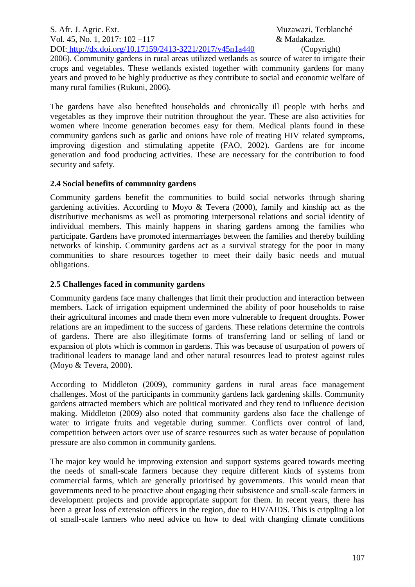S. Afr. J. Agric. Ext. Muzawazi, Terblanché Vol. 45, No. 1, 2017: 102 –117 & Madakadze. DOI: <http://dx.doi.org/10.17159/2413-3221/2017/v45n1a440> (Copyright)

2006). Community gardens in rural areas utilized wetlands as source of water to irrigate their crops and vegetables. These wetlands existed together with community gardens for many years and proved to be highly productive as they contribute to social and economic welfare of many rural families (Rukuni, 2006).

The gardens have also benefited households and chronically ill people with herbs and vegetables as they improve their nutrition throughout the year. These are also activities for women where income generation becomes easy for them. Medical plants found in these community gardens such as garlic and onions have role of treating HIV related symptoms, improving digestion and stimulating appetite (FAO, 2002). Gardens are for income generation and food producing activities. These are necessary for the contribution to food security and safety.

## **2.4 Social benefits of community gardens**

Community gardens benefit the communities to build social networks through sharing gardening activities. According to Moyo & Tevera (2000), family and kinship act as the distributive mechanisms as well as promoting interpersonal relations and social identity of individual members. This mainly happens in sharing gardens among the families who participate. Gardens have promoted intermarriages between the families and thereby building networks of kinship. Community gardens act as a survival strategy for the poor in many communities to share resources together to meet their daily basic needs and mutual obligations.

## **2.5 Challenges faced in community gardens**

Community gardens face many challenges that limit their production and interaction between members. Lack of irrigation equipment undermined the ability of poor households to raise their agricultural incomes and made them even more vulnerable to frequent droughts. Power relations are an impediment to the success of gardens. These relations determine the controls of gardens. There are also illegitimate forms of transferring land or selling of land or expansion of plots which is common in gardens. This was because of usurpation of powers of traditional leaders to manage land and other natural resources lead to protest against rules (Moyo & Tevera, 2000).

According to Middleton (2009), community gardens in rural areas face management challenges. Most of the participants in community gardens lack gardening skills. Community gardens attracted members which are political motivated and they tend to influence decision making. Middleton (2009) also noted that community gardens also face the challenge of water to irrigate fruits and vegetable during summer. Conflicts over control of land, competition between actors over use of scarce resources such as water because of population pressure are also common in community gardens.

The major key would be improving extension and support systems geared towards meeting the needs of small-scale farmers because they require different kinds of systems from commercial farms, which are generally prioritised by governments. This would mean that governments need to be proactive about engaging their subsistence and small-scale farmers in development projects and provide appropriate support for them. In recent years, there has been a great loss of extension officers in the region, due to HIV/AIDS. This is crippling a lot of small-scale farmers who need advice on how to deal with changing climate conditions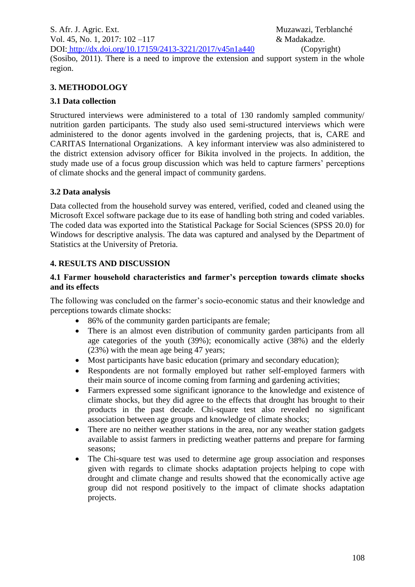S. Afr. J. Agric. Ext. Muzawazi, Terblanché Vol. 45, No. 1, 2017: 102 –117 & Madakadze. DOI: <http://dx.doi.org/10.17159/2413-3221/2017/v45n1a440> (Copyright)

(Sosibo, 2011). There is a need to improve the extension and support system in the whole region.

## **3. METHODOLOGY**

## **3.1 Data collection**

Structured interviews were administered to a total of 130 randomly sampled community/ nutrition garden participants. The study also used semi-structured interviews which were administered to the donor agents involved in the gardening projects, that is, CARE and CARITAS International Organizations. A key informant interview was also administered to the district extension advisory officer for Bikita involved in the projects. In addition, the study made use of a focus group discussion which was held to capture farmers' perceptions of climate shocks and the general impact of community gardens.

## **3.2 Data analysis**

Data collected from the household survey was entered, verified, coded and cleaned using the Microsoft Excel software package due to its ease of handling both string and coded variables. The coded data was exported into the Statistical Package for Social Sciences (SPSS 20.0) for Windows for descriptive analysis. The data was captured and analysed by the Department of Statistics at the University of Pretoria.

# **4. RESULTS AND DISCUSSION**

## **4.1 Farmer household characteristics and farmer's perception towards climate shocks and its effects**

The following was concluded on the farmer's socio-economic status and their knowledge and perceptions towards climate shocks:

- 86% of the community garden participants are female;
- There is an almost even distribution of community garden participants from all age categories of the youth (39%); economically active (38%) and the elderly (23%) with the mean age being 47 years;
- Most participants have basic education (primary and secondary education);
- Respondents are not formally employed but rather self-employed farmers with their main source of income coming from farming and gardening activities;
- Farmers expressed some significant ignorance to the knowledge and existence of climate shocks, but they did agree to the effects that drought has brought to their products in the past decade. Chi-square test also revealed no significant association between age groups and knowledge of climate shocks;
- There are no neither weather stations in the area, nor any weather station gadgets available to assist farmers in predicting weather patterns and prepare for farming seasons;
- The Chi-square test was used to determine age group association and responses given with regards to climate shocks adaptation projects helping to cope with drought and climate change and results showed that the economically active age group did not respond positively to the impact of climate shocks adaptation projects.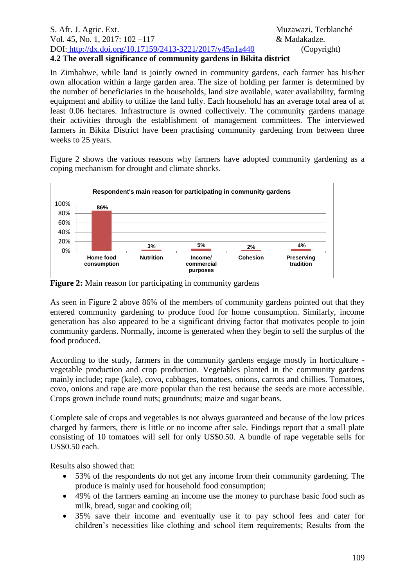#### S. Afr. J. Agric. Ext. Muzawazi, Terblanché Vol. 45, No. 1, 2017: 102 – 117 **& Madakadze.** DOI: <http://dx.doi.org/10.17159/2413-3221/2017/v45n1a440> (Copyright) **4.2 The overall significance of community gardens in Bikita district**

In Zimbabwe, while land is jointly owned in community gardens, each farmer has his/her own allocation within a large garden area. The size of holding per farmer is determined by the number of beneficiaries in the households, land size available, water availability, farming equipment and ability to utilize the land fully. Each household has an average total area of at least 0.06 hectares. Infrastructure is owned collectively. The community gardens manage their activities through the establishment of management committees. The interviewed farmers in Bikita District have been practising community gardening from between three weeks to 25 years.

Figure 2 shows the various reasons why farmers have adopted community gardening as a coping mechanism for drought and climate shocks.



Figure 2: Main reason for participating in community gardens

As seen in Figure 2 above 86% of the members of community gardens pointed out that they entered community gardening to produce food for home consumption. Similarly, income generation has also appeared to be a significant driving factor that motivates people to join community gardens. Normally, income is generated when they begin to sell the surplus of the food produced.

According to the study, farmers in the community gardens engage mostly in horticulture vegetable production and crop production. Vegetables planted in the community gardens mainly include; rape (kale), covo, cabbages, tomatoes, onions, carrots and chillies. Tomatoes, covo, onions and rape are more popular than the rest because the seeds are more accessible. Crops grown include round nuts; groundnuts; maize and sugar beans.

Complete sale of crops and vegetables is not always guaranteed and because of the low prices charged by farmers, there is little or no income after sale. Findings report that a small plate consisting of 10 tomatoes will sell for only US\$0.50. A bundle of rape vegetable sells for US\$0.50 each.

Results also showed that:

- 53% of the respondents do not get any income from their community gardening. The produce is mainly used for household food consumption;
- 49% of the farmers earning an income use the money to purchase basic food such as milk, bread, sugar and cooking oil;
- 35% save their income and eventually use it to pay school fees and cater for children's necessities like clothing and school item requirements; Results from the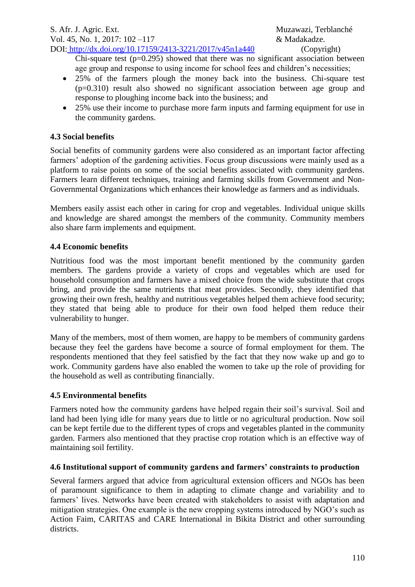Chi-square test  $(p=0.295)$  showed that there was no significant association between age group and response to using income for school fees and children's necessities;

- 25% of the farmers plough the money back into the business. Chi-square test (p=0.310) result also showed no significant association between age group and response to ploughing income back into the business; and
- 25% use their income to purchase more farm inputs and farming equipment for use in the community gardens.

## **4.3 Social benefits**

Social benefits of community gardens were also considered as an important factor affecting farmers' adoption of the gardening activities. Focus group discussions were mainly used as a platform to raise points on some of the social benefits associated with community gardens. Farmers learn different techniques, training and farming skills from Government and Non-Governmental Organizations which enhances their knowledge as farmers and as individuals.

Members easily assist each other in caring for crop and vegetables. Individual unique skills and knowledge are shared amongst the members of the community. Community members also share farm implements and equipment.

## **4.4 Economic benefits**

Nutritious food was the most important benefit mentioned by the community garden members. The gardens provide a variety of crops and vegetables which are used for household consumption and farmers have a mixed choice from the wide substitute that crops bring, and provide the same nutrients that meat provides. Secondly, they identified that growing their own fresh, healthy and nutritious vegetables helped them achieve food security; they stated that being able to produce for their own food helped them reduce their vulnerability to hunger.

Many of the members, most of them women, are happy to be members of community gardens because they feel the gardens have become a source of formal employment for them. The respondents mentioned that they feel satisfied by the fact that they now wake up and go to work. Community gardens have also enabled the women to take up the role of providing for the household as well as contributing financially.

## **4.5 Environmental benefits**

Farmers noted how the community gardens have helped regain their soil's survival. Soil and land had been lying idle for many years due to little or no agricultural production. Now soil can be kept fertile due to the different types of crops and vegetables planted in the community garden. Farmers also mentioned that they practise crop rotation which is an effective way of maintaining soil fertility.

## **4.6 Institutional support of community gardens and farmers' constraints to production**

Several farmers argued that advice from agricultural extension officers and NGOs has been of paramount significance to them in adapting to climate change and variability and to farmers' lives. Networks have been created with stakeholders to assist with adaptation and mitigation strategies. One example is the new cropping systems introduced by NGO's such as Action Faim, CARITAS and CARE International in Bikita District and other surrounding districts.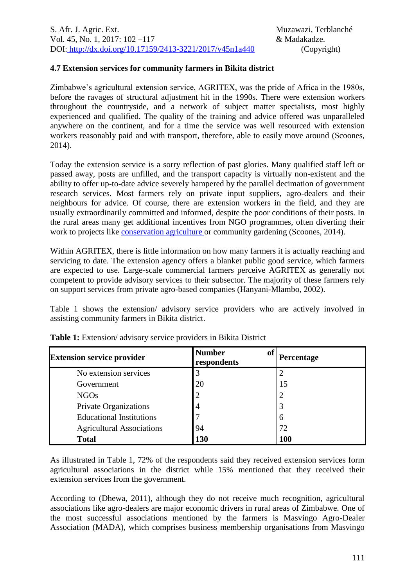#### **4.7 Extension services for community farmers in Bikita district**

Zimbabwe's agricultural extension service, AGRITEX, was the pride of Africa in the 1980s, before the ravages of structural adjustment hit in the 1990s. There were extension workers throughout the countryside, and a network of subject matter specialists, most highly experienced and qualified. The quality of the training and advice offered was unparalleled anywhere on the continent, and for a time the service was well resourced with extension workers reasonably paid and with transport, therefore, able to easily move around (Scoones, 2014).

Today the extension service is a sorry reflection of past glories. Many qualified staff left or passed away, posts are unfilled, and the transport capacity is virtually non-existent and the ability to offer up-to-date advice severely hampered by the parallel decimation of government research services. Most farmers rely on private input suppliers, agro-dealers and their neighbours for advice. Of course, there are extension workers in the field, and they are usually extraordinarily committed and informed, despite the poor conditions of their posts. In the rural areas many get additional incentives from NGO programmes, often diverting their work to projects like [conservation agriculture o](https://zimbabweland.wordpress.com/2012/01/23/conservation-agriculture-the-problem-of-donor-fads/)r community gardening (Scoones, 2014).

Within AGRITEX, there is little information on how many farmers it is actually reaching and servicing to date. The extension agency offers a blanket public good service, which farmers are expected to use. Large-scale commercial farmers perceive AGRITEX as generally not competent to provide advisory services to their subsector. The majority of these farmers rely on support services from private agro-based companies (Hanyani-Mlambo, 2002).

Table 1 shows the extension/ advisory service providers who are actively involved in assisting community farmers in Bikita district.

| <b>Extension service provider</b> | <b>Number</b><br>of<br>respondents | Percentage |
|-----------------------------------|------------------------------------|------------|
| No extension services             |                                    |            |
| Government                        | 20                                 | 15         |
| <b>NGOs</b>                       |                                    | 2          |
| Private Organizations             | $\overline{4}$                     | 3          |
| <b>Educational Institutions</b>   |                                    | 6          |
| <b>Agricultural Associations</b>  | 94                                 | 72         |
| <b>Total</b>                      | 130                                | 100        |

**Table 1:** Extension/ advisory service providers in Bikita District

As illustrated in Table 1, 72% of the respondents said they received extension services form agricultural associations in the district while 15% mentioned that they received their extension services from the government.

According to (Dhewa, 2011), although they do not receive much recognition, agricultural associations like agro-dealers are major economic drivers in rural areas of Zimbabwe. One of the most successful associations mentioned by the farmers is Masvingo Agro-Dealer Association (MADA), which comprises business membership organisations from Masvingo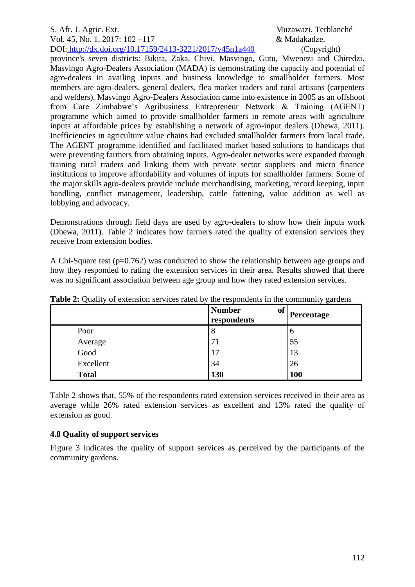#### S. Afr. J. Agric. Ext. Muzawazi, Terblanché Vol. 45, No. 1, 2017: 102 –117 & Madakadze.

DOI: <http://dx.doi.org/10.17159/2413-3221/2017/v45n1a440> (Copyright)

province's seven districts: Bikita, Zaka, Chivi, Masvingo, Gutu, Mwenezi and Chiredzi. Masvingo Agro-Dealers Association (MADA) is demonstrating the capacity and potential of agro-dealers in availing inputs and business knowledge to smallholder farmers. Most members are agro-dealers, general dealers, flea market traders and rural artisans (carpenters and welders). Masvingo Agro-Dealers Association came into existence in 2005 as an offshoot from Care Zimbabwe's Agribusiness Entrepreneur Network & Training (AGENT) programme which aimed to provide smallholder farmers in remote areas with agriculture inputs at affordable prices by establishing a network of agro-input dealers (Dhewa, 2011). Inefficiencies in agriculture value chains had excluded smallholder farmers from local trade. The AGENT programme identified and facilitated market based solutions to handicaps that were preventing farmers from obtaining inputs. Agro-dealer networks were expanded through training rural traders and linking them with private sector suppliers and micro finance institutions to improve affordability and volumes of inputs for smallholder farmers. Some of the major skills agro-dealers provide include merchandising, marketing, record keeping, input handling, conflict management, leadership, cattle fattening, value addition as well as lobbying and advocacy.

Demonstrations through field days are used by agro-dealers to show how their inputs work (Dhewa, 2011). Table 2 indicates how farmers rated the quality of extension services they receive from extension bodies.

A Chi-Square test ( $p=0.762$ ) was conducted to show the relationship between age groups and how they responded to rating the extension services in their area. Results showed that there was no significant association between age group and how they rated extension services.

|              | <b>Number</b><br><b>of</b><br>respondents | Percentage |
|--------------|-------------------------------------------|------------|
| Poor         | 8                                         | 6          |
| Average      | 71                                        | 55         |
| Good         | 17                                        | 13         |
| Excellent    | 34                                        | 26         |
| <b>Total</b> | <b>130</b>                                | <b>100</b> |

**Table 2:** Quality of extension services rated by the respondents in the community gardens

Table 2 shows that, 55% of the respondents rated extension services received in their area as average while 26% rated extension services as excellent and 13% rated the quality of extension as good.

# **4.8 Quality of support services**

Figure 3 indicates the quality of support services as perceived by the participants of the community gardens.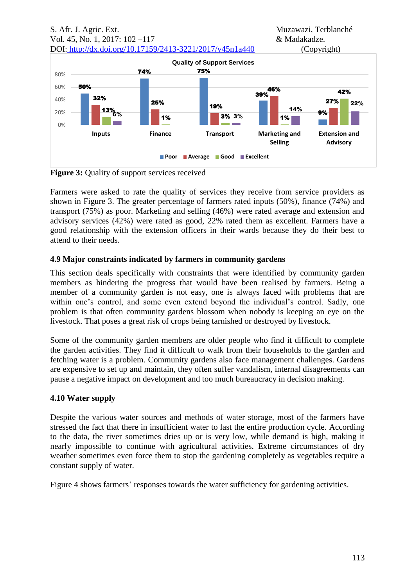

**Figure 3:** Quality of support services received

Farmers were asked to rate the quality of services they receive from service providers as shown in Figure 3. The greater percentage of farmers rated inputs (50%), finance (74%) and transport (75%) as poor. Marketing and selling (46%) were rated average and extension and advisory services (42%) were rated as good, 22% rated them as excellent. Farmers have a good relationship with the extension officers in their wards because they do their best to attend to their needs.

## **4.9 Major constraints indicated by farmers in community gardens**

This section deals specifically with constraints that were identified by community garden members as hindering the progress that would have been realised by farmers. Being a member of a community garden is not easy, one is always faced with problems that are within one's control, and some even extend beyond the individual's control. Sadly, one problem is that often community gardens blossom when nobody is keeping an eye on the livestock. That poses a great risk of crops being tarnished or destroyed by livestock.

Some of the community garden members are older people who find it difficult to complete the garden activities. They find it difficult to walk from their households to the garden and fetching water is a problem. Community gardens also face management challenges. Gardens are expensive to set up and maintain, they often suffer vandalism, internal disagreements can pause a negative impact on development and too much bureaucracy in decision making.

# **4.10 Water supply**

Despite the various water sources and methods of water storage, most of the farmers have stressed the fact that there in insufficient water to last the entire production cycle. According to the data, the river sometimes dries up or is very low, while demand is high, making it nearly impossible to continue with agricultural activities. Extreme circumstances of dry weather sometimes even force them to stop the gardening completely as vegetables require a constant supply of water.

Figure 4 shows farmers' responses towards the water sufficiency for gardening activities.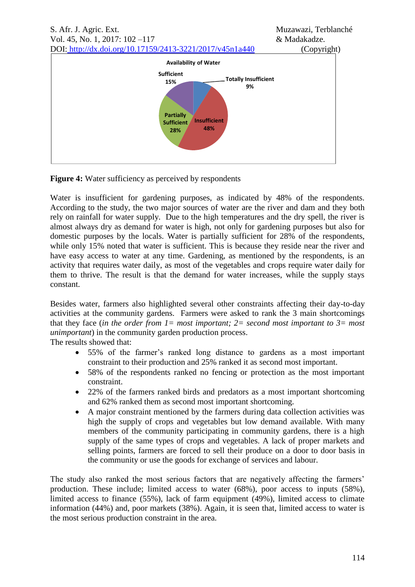

**Figure 4:** Water sufficiency as perceived by respondents

Water is insufficient for gardening purposes, as indicated by 48% of the respondents. According to the study, the two major sources of water are the river and dam and they both rely on rainfall for water supply. Due to the high temperatures and the dry spell, the river is almost always dry as demand for water is high, not only for gardening purposes but also for domestic purposes by the locals. Water is partially sufficient for 28% of the respondents, while only 15% noted that water is sufficient. This is because they reside near the river and have easy access to water at any time. Gardening, as mentioned by the respondents, is an activity that requires water daily, as most of the vegetables and crops require water daily for them to thrive. The result is that the demand for water increases, while the supply stays constant.

Besides water, farmers also highlighted several other constraints affecting their day-to-day activities at the community gardens. Farmers were asked to rank the 3 main shortcomings that they face (*in the order from 1= most important; 2= second most important to 3= most unimportant*) in the community garden production process.

The results showed that:

- 55% of the farmer's ranked long distance to gardens as a most important constraint to their production and 25% ranked it as second most important.
- 58% of the respondents ranked no fencing or protection as the most important constraint.
- 22% of the farmers ranked birds and predators as a most important shortcoming and 62% ranked them as second most important shortcoming.
- A major constraint mentioned by the farmers during data collection activities was high the supply of crops and vegetables but low demand available. With many members of the community participating in community gardens, there is a high supply of the same types of crops and vegetables. A lack of proper markets and selling points, farmers are forced to sell their produce on a door to door basis in the community or use the goods for exchange of services and labour.

The study also ranked the most serious factors that are negatively affecting the farmers' production. These include; limited access to water (68%), poor access to inputs (58%), limited access to finance (55%), lack of farm equipment (49%), limited access to climate information (44%) and, poor markets (38%). Again, it is seen that, limited access to water is the most serious production constraint in the area.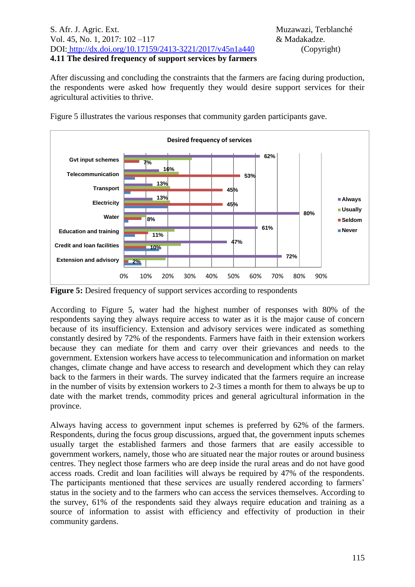#### S. Afr. J. Agric. Ext. Muzawazi, Terblanché Vol. 45, No. 1, 2017: 102 –117 & Madakadze. DOI: <http://dx.doi.org/10.17159/2413-3221/2017/v45n1a440> (Copyright) **4.11 The desired frequency of support services by farmers**

After discussing and concluding the constraints that the farmers are facing during production, the respondents were asked how frequently they would desire support services for their agricultural activities to thrive.



Figure 5 illustrates the various responses that community garden participants gave.

**Figure 5:** Desired frequency of support services according to respondents

According to Figure 5, water had the highest number of responses with 80% of the respondents saying they always require access to water as it is the major cause of concern because of its insufficiency. Extension and advisory services were indicated as something constantly desired by 72% of the respondents. Farmers have faith in their extension workers because they can mediate for them and carry over their grievances and needs to the government. Extension workers have access to telecommunication and information on market changes, climate change and have access to research and development which they can relay back to the farmers in their wards. The survey indicated that the farmers require an increase in the number of visits by extension workers to 2-3 times a month for them to always be up to date with the market trends, commodity prices and general agricultural information in the province.

Always having access to government input schemes is preferred by 62% of the farmers. Respondents, during the focus group discussions, argued that, the government inputs schemes usually target the established farmers and those farmers that are easily accessible to government workers, namely, those who are situated near the major routes or around business centres. They neglect those farmers who are deep inside the rural areas and do not have good access roads. Credit and loan facilities will always be required by 47% of the respondents. The participants mentioned that these services are usually rendered according to farmers' status in the society and to the farmers who can access the services themselves. According to the survey, 61% of the respondents said they always require education and training as a source of information to assist with efficiency and effectivity of production in their community gardens.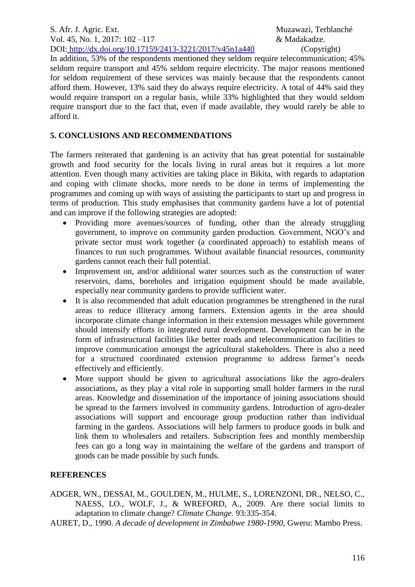S. Afr. J. Agric. Ext. Muzawazi, Terblanché Vol. 45, No. 1, 2017: 102 –117 & Madakadze. DOI: <http://dx.doi.org/10.17159/2413-3221/2017/v45n1a440> (Copyright)

## In addition, 53% of the respondents mentioned they seldom require telecommunication; 45% seldom require transport and 45% seldom require electricity. The major reasons mentioned for seldom requirement of these services was mainly because that the respondents cannot afford them. However, 13% said they do always require electricity. A total of 44% said they would require transport on a regular basis, while 33% highlighted that they would seldom require transport due to the fact that, even if made available, they would rarely be able to afford it.

## **5. CONCLUSIONS AND RECOMMENDATIONS**

The farmers reiterated that gardening is an activity that has great potential for sustainable growth and food security for the locals living in rural areas but it requires a lot more attention. Even though many activities are taking place in Bikita, with regards to adaptation and coping with climate shocks, more needs to be done in terms of implementing the programmes and coming up with ways of assisting the participants to start up and progress in terms of production. This study emphasises that community gardens have a lot of potential and can improve if the following strategies are adopted:

- Providing more avenues/sources of funding, other than the already struggling government, to improve on community garden production. Government, NGO's and private sector must work together (a coordinated approach) to establish means of finances to run such programmes. Without available financial resources, community gardens cannot reach their full potential.
- Improvement on, and/or additional water sources such as the construction of water reservoirs, dams, boreholes and irrigation equipment should be made available, especially near community gardens to provide sufficient water.
- It is also recommended that adult education programmes be strengthened in the rural areas to reduce illiteracy among farmers. Extension agents in the area should incorporate climate change information in their extension messages while government should intensify efforts in integrated rural development. Development can be in the form of infrastructural facilities like better roads and telecommunication facilities to improve communication amongst the agricultural stakeholders. There is also a need for a structured coordinated extension programme to address farmer's needs effectively and efficiently.
- More support should be given to agricultural associations like the agro-dealers associations, as they play a vital role in supporting small holder farmers in the rural areas. Knowledge and dissemination of the importance of joining associations should be spread to the farmers involved in community gardens. Introduction of agro-dealer associations will support and encourage group production rather than individual farming in the gardens. Associations will help farmers to produce goods in bulk and link them to wholesalers and retailers. Subscription fees and monthly membership fees can go a long way in maintaining the welfare of the gardens and transport of goods can be made possible by such funds.

## **REFERENCES**

ADGER, WN., DESSAI, M., GOULDEN, M., HULME, S., LORENZONI, DR., NELSO, C., NAESS, LO., WOLF, J., & WREFORD, A., 2009. Are there social limits to adaptation to climate change? *Climate Change.* 93:335-354.

AURET, D., 1990. *A decade of development in Zimbabwe 1980-1990,* Gweru: Mambo Press.